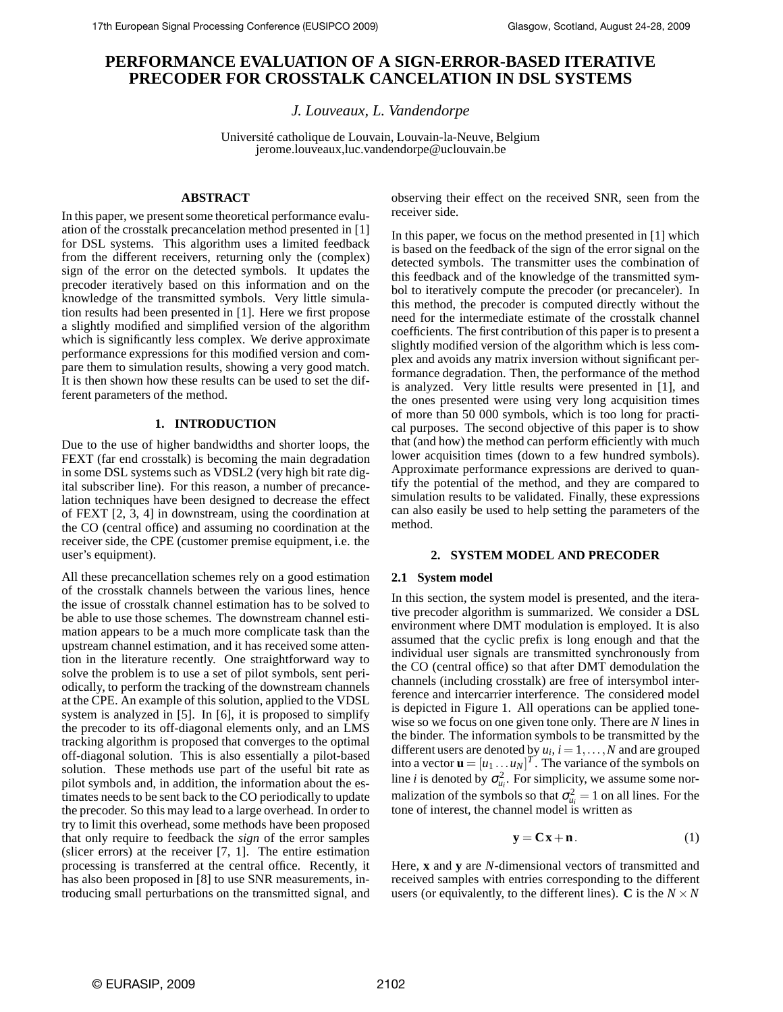# **PERFORMANCE EVALUATION OF A SIGN-ERROR-BASED ITERATIVE PRECODER FOR CROSSTALK CANCELATION IN DSL SYSTEMS**

*J. Louveaux, L. Vandendorpe*

Université catholique de Louvain, Louvain-la-Neuve, Belgium jerome.louveaux,luc.vandendorpe@uclouvain.be

## **ABSTRACT**

In this paper, we present some theoretical performance evaluation of the crosstalk precancelation method presented in [1] for DSL systems. This algorithm uses a limited feedback from the different receivers, returning only the (complex) sign of the error on the detected symbols. It updates the precoder iteratively based on this information and on the knowledge of the transmitted symbols. Very little simulation results had been presented in [1]. Here we first propose a slightly modified and simplified version of the algorithm which is significantly less complex. We derive approximate performance expressions for this modified version and compare them to simulation results, showing a very good match. It is then shown how these results can be used to set the different parameters of the method.

## **1. INTRODUCTION**

Due to the use of higher bandwidths and shorter loops, the FEXT (far end crosstalk) is becoming the main degradation in some DSL systems such as VDSL2 (very high bit rate digital subscriber line). For this reason, a number of precancelation techniques have been designed to decrease the effect of FEXT [2, 3, 4] in downstream, using the coordination at the CO (central office) and assuming no coordination at the receiver side, the CPE (customer premise equipment, i.e. the user's equipment).

All these precancellation schemes rely on a good estimation of the crosstalk channels between the various lines, hence the issue of crosstalk channel estimation has to be solved to be able to use those schemes. The downstream channel estimation appears to be a much more complicate task than the upstream channel estimation, and it has received some attention in the literature recently. One straightforward way to solve the problem is to use a set of pilot symbols, sent periodically, to perform the tracking of the downstream channels at the CPE. An example of this solution, applied to the VDSL system is analyzed in [5]. In [6], it is proposed to simplify the precoder to its off-diagonal elements only, and an LMS tracking algorithm is proposed that converges to the optimal off-diagonal solution. This is also essentially a pilot-based solution. These methods use part of the useful bit rate as pilot symbols and, in addition, the information about the estimates needs to be sent back to the CO periodically to update the precoder. So this may lead to a large overhead. In order to try to limit this overhead, some methods have been proposed that only require to feedback the *sign* of the error samples (slicer errors) at the receiver [7, 1]. The entire estimation processing is transferred at the central office. Recently, it has also been proposed in [8] to use SNR measurements, introducing small perturbations on the transmitted signal, and

observing their effect on the received SNR, seen from the receiver side.

In this paper, we focus on the method presented in [1] which is based on the feedback of the sign of the error signal on the detected symbols. The transmitter uses the combination of this feedback and of the knowledge of the transmitted symbol to iteratively compute the precoder (or precanceler). In this method, the precoder is computed directly without the need for the intermediate estimate of the crosstalk channel coefficients. The first contribution of this paper is to present a slightly modified version of the algorithm which is less complex and avoids any matrix inversion without significant performance degradation. Then, the performance of the method is analyzed. Very little results were presented in [1], and the ones presented were using very long acquisition times of more than 50 000 symbols, which is too long for practical purposes. The second objective of this paper is to show that (and how) the method can perform efficiently with much lower acquisition times (down to a few hundred symbols). Approximate performance expressions are derived to quantify the potential of the method, and they are compared to simulation results to be validated. Finally, these expressions can also easily be used to help setting the parameters of the method.

### **2. SYSTEM MODEL AND PRECODER**

## **2.1 System model**

In this section, the system model is presented, and the iterative precoder algorithm is summarized. We consider a DSL environment where DMT modulation is employed. It is also assumed that the cyclic prefix is long enough and that the individual user signals are transmitted synchronously from the CO (central office) so that after DMT demodulation the channels (including crosstalk) are free of intersymbol interference and intercarrier interference. The considered model is depicted in Figure 1. All operations can be applied tonewise so we focus on one given tone only. There are *N* lines in the binder. The information symbols to be transmitted by the different users are denoted by  $u_i$ ,  $i = 1, ..., N$  and are grouped into a vector  $\mathbf{u} = [u_1 \dots u_N]^T$ . The variance of the symbols on line *i* is denoted by  $\sigma_{u_i}^2$ . For simplicity, we assume some normalization of the symbols so that  $\sigma_{u_i}^2 = 1$  on all lines. For the tone of interest, the channel model is written as

$$
y = Cx + n. \tag{1}
$$

Here, **x** and **y** are *N*-dimensional vectors of transmitted and received samples with entries corresponding to the different users (or equivalently, to the different lines).  $C$  is the  $N \times N$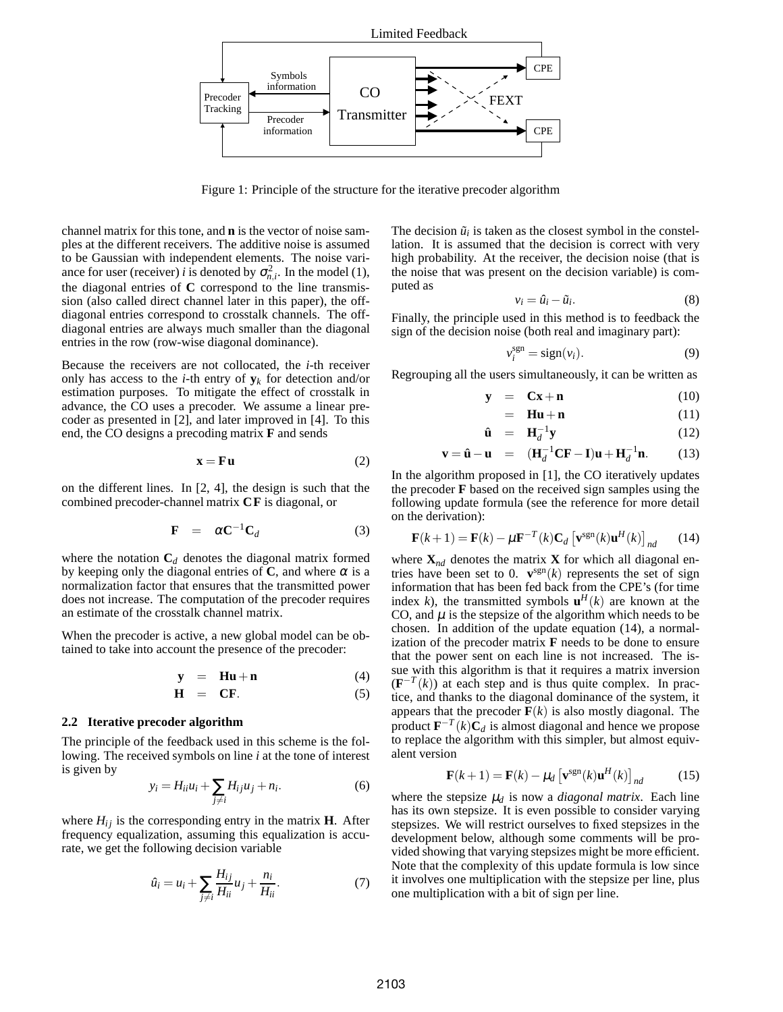

Figure 1: Principle of the structure for the iterative precoder algorithm

channel matrix for this tone, and **n** is the vector of noise samples at the different receivers. The additive noise is assumed to be Gaussian with independent elements. The noise variance for user (receiver) *i* is denoted by  $\sigma_{n,i}^2$ . In the model (1), the diagonal entries of **C** correspond to the line transmission (also called direct channel later in this paper), the offdiagonal entries correspond to crosstalk channels. The offdiagonal entries are always much smaller than the diagonal entries in the row (row-wise diagonal dominance).

Because the receivers are not collocated, the *i*-th receiver only has access to the *i*-th entry of  $y_k$  for detection and/or estimation purposes. To mitigate the effect of crosstalk in advance, the CO uses a precoder. We assume a linear precoder as presented in [2], and later improved in [4]. To this end, the CO designs a precoding matrix **F** and sends

$$
\mathbf{x} = \mathbf{F} \mathbf{u} \tag{2}
$$

on the different lines. In [2, 4], the design is such that the combined precoder-channel matrix **CF** is diagonal, or

$$
\mathbf{F} = \alpha \mathbf{C}^{-1} \mathbf{C}_d \tag{3}
$$

where the notation  $C_d$  denotes the diagonal matrix formed by keeping only the diagonal entries of  $C$ , and where  $\alpha$  is a normalization factor that ensures that the transmitted power does not increase. The computation of the precoder requires an estimate of the crosstalk channel matrix.

When the precoder is active, a new global model can be obtained to take into account the presence of the precoder:

$$
y = Hu + n \tag{4}
$$

$$
\mathbf{H} = \mathbf{C}\mathbf{F}.\tag{5}
$$

## **2.2 Iterative precoder algorithm**

The principle of the feedback used in this scheme is the following. The received symbols on line *i* at the tone of interest is given by

$$
y_i = H_{ii}u_i + \sum_{j \neq i} H_{ij}u_j + n_i.
$$
 (6)

where  $H_{ij}$  is the corresponding entry in the matrix **H**. After frequency equalization, assuming this equalization is accurate, we get the following decision variable

$$
\hat{u}_i = u_i + \sum_{j \neq i} \frac{H_{ij}}{H_{ii}} u_j + \frac{n_i}{H_{ii}}.\tag{7}
$$

The decision  $\tilde{u}_i$  is taken as the closest symbol in the constellation. It is assumed that the decision is correct with very high probability. At the receiver, the decision noise (that is the noise that was present on the decision variable) is computed as

$$
v_i = \hat{u}_i - \tilde{u}_i. \tag{8}
$$

Finally, the principle used in this method is to feedback the sign of the decision noise (both real and imaginary part):

$$
v_i^{\text{sgn}} = \text{sign}(v_i). \tag{9}
$$

Regrouping all the users simultaneously, it can be written as

$$
\mathbf{y} = \mathbf{C}\mathbf{x} + \mathbf{n} \tag{10}
$$

$$
= \mathbf{Hu} + \mathbf{n} \tag{11}
$$

$$
\hat{\mathbf{u}} = \mathbf{H}_d^{-1} \mathbf{y} \tag{12}
$$

$$
\mathbf{v} = \hat{\mathbf{u}} - \mathbf{u} = (\mathbf{H}_d^{-1}\mathbf{C}\mathbf{F} - \mathbf{I})\mathbf{u} + \mathbf{H}_d^{-1}\mathbf{n}.
$$
 (13)

In the algorithm proposed in [1], the CO iteratively updates the precoder **F** based on the received sign samples using the following update formula (see the reference for more detail on the derivation):

$$
\mathbf{F}(k+1) = \mathbf{F}(k) - \mu \mathbf{F}^{-T}(k) \mathbf{C}_d \left[ \mathbf{v}^{\text{sgn}}(k) \mathbf{u}^H(k) \right]_{nd} \quad (14)
$$

where  $\mathbf{X}_{nd}$  denotes the matrix **X** for which all diagonal entries have been set to 0.  $\mathbf{v}^{\text{sgn}}(k)$  represents the set of sign information that has been fed back from the CPE's (for time index *k*), the transmitted symbols  $\mathbf{u}^H(k)$  are known at the CO, and  $\mu$  is the stepsize of the algorithm which needs to be chosen. In addition of the update equation (14), a normalization of the precoder matrix **F** needs to be done to ensure that the power sent on each line is not increased. The issue with this algorithm is that it requires a matrix inversion  $(\mathbf{F}^{-T}(k))$  at each step and is thus quite complex. In practice, and thanks to the diagonal dominance of the system, it appears that the precoder  $F(k)$  is also mostly diagonal. The product  $\mathbf{F}^{-T}(k)\mathbf{C}_d$  is almost diagonal and hence we propose to replace the algorithm with this simpler, but almost equivalent version

$$
\mathbf{F}(k+1) = \mathbf{F}(k) - \mu_d \left[ \mathbf{v}^{\text{sgn}}(k) \mathbf{u}^H(k) \right]_{nd} \tag{15}
$$

where the stepsize  $\mu_d$  is now a *diagonal matrix*. Each line has its own stepsize. It is even possible to consider varying stepsizes. We will restrict ourselves to fixed stepsizes in the development below, although some comments will be provided showing that varying stepsizes might be more efficient. Note that the complexity of this update formula is low since it involves one multiplication with the stepsize per line, plus one multiplication with a bit of sign per line.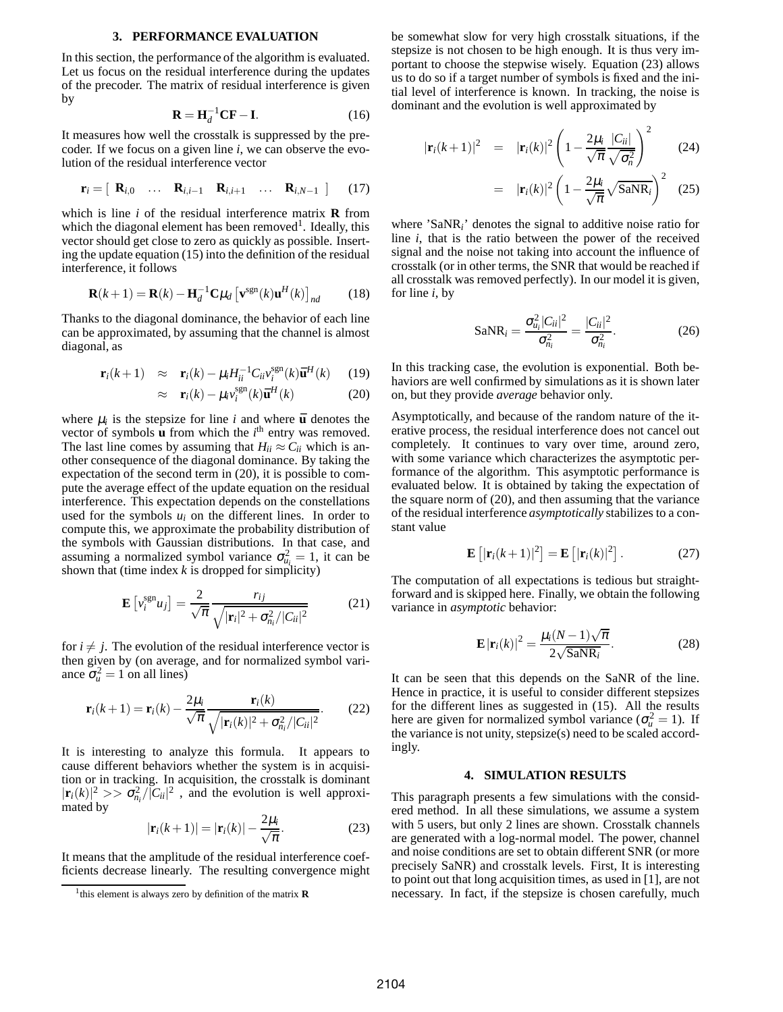#### **3. PERFORMANCE EVALUATION**

In this section, the performance of the algorithm is evaluated. Let us focus on the residual interference during the updates of the precoder. The matrix of residual interference is given by

$$
\mathbf{R} = \mathbf{H}_d^{-1} \mathbf{C} \mathbf{F} - \mathbf{I}.
$$
 (16)

It measures how well the crosstalk is suppressed by the precoder. If we focus on a given line *i*, we can observe the evolution of the residual interference vector

$$
\mathbf{r}_i = \left[ \begin{array}{cccc} \mathbf{R}_{i,0} & \dots & \mathbf{R}_{i,i-1} & \mathbf{R}_{i,i+1} & \dots & \mathbf{R}_{i,N-1} \end{array} \right] \tag{17}
$$

which is line *i* of the residual interference matrix **R** from which the diagonal element has been removed<sup>1</sup>. Ideally, this vector should get close to zero as quickly as possible. Inserting the update equation (15) into the definition of the residual interference, it follows

$$
\mathbf{R}(k+1) = \mathbf{R}(k) - \mathbf{H}_d^{-1} \mathbf{C} \mu_d \left[ \mathbf{v}^{\text{sgn}}(k) \mathbf{u}^H(k) \right]_{nd} \tag{18}
$$

Thanks to the diagonal dominance, the behavior of each line can be approximated, by assuming that the channel is almost diagonal, as

$$
\mathbf{r}_i(k+1) \approx \mathbf{r}_i(k) - \mu_i H_{ii}^{-1} C_{ii} v_i^{\text{sgn}}(k) \mathbf{\bar{u}}^H(k) \quad (19)
$$

$$
\approx \mathbf{r}_i(k) - \mu_i v_i^{\text{sgn}}(k) \mathbf{\bar{u}}^H(k)
$$
 (20)

where  $\mu_i$  is the stepsize for line *i* and where  $\bar{u}$  denotes the vector of symbols  $\bf{u}$  from which the  $i^{\text{th}}$  entry was removed. The last line comes by assuming that  $H_{ii} \approx C_{ii}$  which is another consequence of the diagonal dominance. By taking the expectation of the second term in (20), it is possible to compute the average effect of the update equation on the residual interference. This expectation depends on the constellations used for the symbols  $u_i$  on the different lines. In order to compute this, we approximate the probability distribution of the symbols with Gaussian distributions. In that case, and assuming a normalized symbol variance  $\sigma_{u_i}^2 = 1$ , it can be shown that (time index  $k$  is dropped for simplicity)

$$
\mathbf{E}\left[v_i^{\text{sgn}}u_j\right] = \frac{2}{\sqrt{\pi}} \frac{r_{ij}}{\sqrt{|\mathbf{r}_i|^2 + \sigma_{n_i}^2/|C_{ii}|^2}}
$$
(21)

for  $i \neq j$ . The evolution of the residual interference vector is then given by (on average, and for normalized symbol variance  $\sigma_u^2 = 1$  on all lines)

$$
\mathbf{r}_i(k+1) = \mathbf{r}_i(k) - \frac{2\mu_i}{\sqrt{\pi}} \frac{\mathbf{r}_i(k)}{\sqrt{|\mathbf{r}_i(k)|^2 + \sigma_{n_i}^2/|C_{ii}|^2}}.
$$
(22)

It is interesting to analyze this formula. It appears to cause different behaviors whether the system is in acquisition or in tracking. In acquisition, the crosstalk is dominant  $|\mathbf{r}_i(k)|^2 >> \sigma_{n_i}^2 / |\vec{C}_{ii}|^2$ , and the evolution is well approximated by

$$
|\mathbf{r}_i(k+1)| = |\mathbf{r}_i(k)| - \frac{2\mu_i}{\sqrt{\pi}}.
$$
 (23)

It means that the amplitude of the residual interference coefficients decrease linearly. The resulting convergence might be somewhat slow for very high crosstalk situations, if the stepsize is not chosen to be high enough. It is thus very important to choose the stepwise wisely. Equation (23) allows us to do so if a target number of symbols is fixed and the initial level of interference is known. In tracking, the noise is dominant and the evolution is well approximated by

$$
|\mathbf{r}_i(k+1)|^2 = |\mathbf{r}_i(k)|^2 \left(1 - \frac{2\mu_i}{\sqrt{\pi}} \frac{|C_{ii}|}{\sqrt{\sigma_n^2}}\right)^2 \qquad (24)
$$

$$
= |\mathbf{r}_i(k)|^2 \left(1 - \frac{2\mu_i}{\sqrt{\pi}} \sqrt{\text{SaNR}_i}\right)^2 \quad (25)
$$

where 'SaNR*i*' denotes the signal to additive noise ratio for line *i*, that is the ratio between the power of the received signal and the noise not taking into account the influence of crosstalk (or in other terms, the SNR that would be reached if all crosstalk was removed perfectly). In our model it is given, for line *i*, by

$$
\text{SaNR}_i = \frac{\sigma_{u_i}^2 |C_{ii}|^2}{\sigma_{u_i}^2} = \frac{|C_{ii}|^2}{\sigma_{u_i}^2}.
$$
 (26)

In this tracking case, the evolution is exponential. Both behaviors are well confirmed by simulations as it is shown later on, but they provide *average* behavior only.

Asymptotically, and because of the random nature of the iterative process, the residual interference does not cancel out completely. It continues to vary over time, around zero, with some variance which characterizes the asymptotic performance of the algorithm. This asymptotic performance is evaluated below. It is obtained by taking the expectation of the square norm of (20), and then assuming that the variance of the residual interference *asymptotically* stabilizes to a constant value

$$
\mathbf{E}\left[|\mathbf{r}_i(k+1)|^2\right] = \mathbf{E}\left[|\mathbf{r}_i(k)|^2\right].\tag{27}
$$

The computation of all expectations is tedious but straightforward and is skipped here. Finally, we obtain the following variance in *asymptotic* behavior:

$$
\mathbf{E}\left|\mathbf{r}_i(k)\right|^2 = \frac{\mu_i(N-1)\sqrt{\pi}}{2\sqrt{\text{SANR}_i}}.\tag{28}
$$

It can be seen that this depends on the SaNR of the line. Hence in practice, it is useful to consider different stepsizes for the different lines as suggested in (15). All the results here are given for normalized symbol variance ( $\sigma_u^2 = 1$ ). If the variance is not unity, stepsize(s) need to be scaled accordingly.

#### **4. SIMULATION RESULTS**

This paragraph presents a few simulations with the considered method. In all these simulations, we assume a system with 5 users, but only 2 lines are shown. Crosstalk channels are generated with a log-normal model. The power, channel and noise conditions are set to obtain different SNR (or more precisely SaNR) and crosstalk levels. First, It is interesting to point out that long acquisition times, as used in [1], are not necessary. In fact, if the stepsize is chosen carefully, much

<sup>1</sup> this element is always zero by definition of the matrix **R**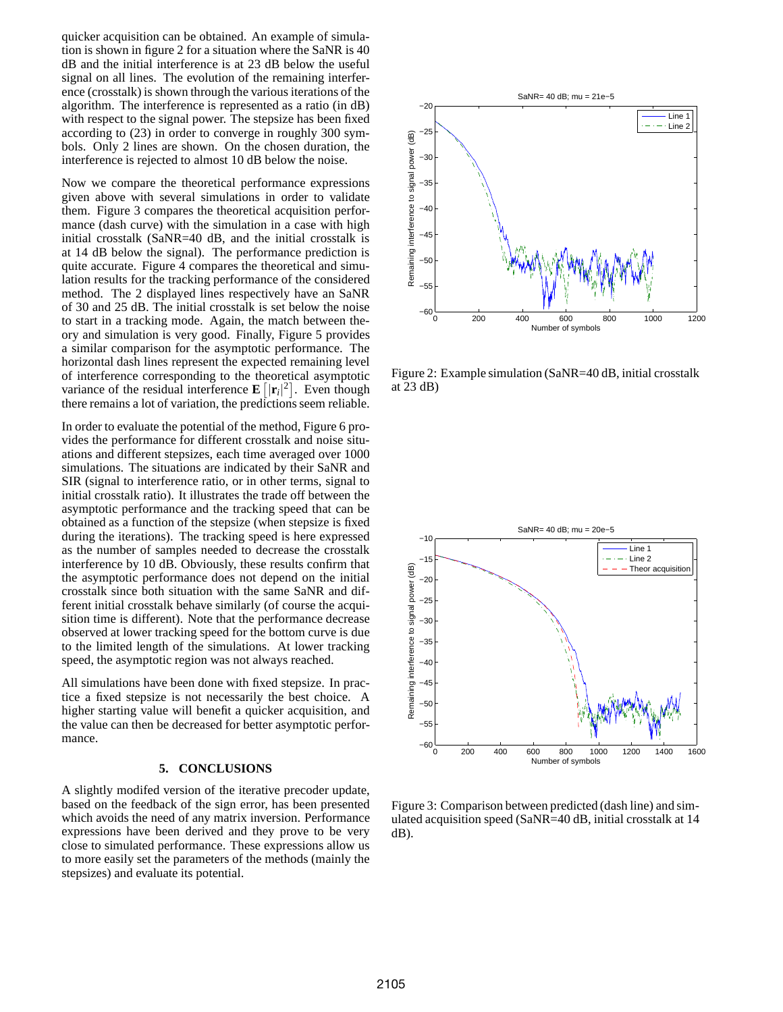quicker acquisition can be obtained. An example of simulation is shown in figure 2 for a situation where the SaNR is 40 dB and the initial interference is at 23 dB below the useful signal on all lines. The evolution of the remaining interference (crosstalk) is shown through the various iterations of the algorithm. The interference is represented as a ratio (in dB) with respect to the signal power. The stepsize has been fixed according to (23) in order to converge in roughly 300 symbols. Only 2 lines are shown. On the chosen duration, the interference is rejected to almost 10 dB below the noise.

Now we compare the theoretical performance expressions given above with several simulations in order to validate them. Figure 3 compares the theoretical acquisition performance (dash curve) with the simulation in a case with high initial crosstalk (SaNR=40 dB, and the initial crosstalk is at 14 dB below the signal). The performance prediction is quite accurate. Figure 4 compares the theoretical and simulation results for the tracking performance of the considered method. The 2 displayed lines respectively have an SaNR of 30 and 25 dB. The initial crosstalk is set below the noise to start in a tracking mode. Again, the match between theory and simulation is very good. Finally, Figure 5 provides a similar comparison for the asymptotic performance. The horizontal dash lines represent the expected remaining level of interference corresponding to the theoretical asymptotic variance of the residual interference  $\mathbf{E} [|\mathbf{r}_i|^2]$ . Even though there remains a lot of variation, the predictions seem reliable.

In order to evaluate the potential of the method, Figure 6 provides the performance for different crosstalk and noise situations and different stepsizes, each time averaged over 1000 simulations. The situations are indicated by their SaNR and SIR (signal to interference ratio, or in other terms, signal to initial crosstalk ratio). It illustrates the trade off between the asymptotic performance and the tracking speed that can be obtained as a function of the stepsize (when stepsize is fixed during the iterations). The tracking speed is here expressed as the number of samples needed to decrease the crosstalk interference by 10 dB. Obviously, these results confirm that the asymptotic performance does not depend on the initial crosstalk since both situation with the same SaNR and different initial crosstalk behave similarly (of course the acquisition time is different). Note that the performance decrease observed at lower tracking speed for the bottom curve is due to the limited length of the simulations. At lower tracking speed, the asymptotic region was not always reached.

All simulations have been done with fixed stepsize. In practice a fixed stepsize is not necessarily the best choice. A higher starting value will benefit a quicker acquisition, and the value can then be decreased for better asymptotic performance.

#### **5. CONCLUSIONS**

A slightly modifed version of the iterative precoder update, based on the feedback of the sign error, has been presented which avoids the need of any matrix inversion. Performance expressions have been derived and they prove to be very close to simulated performance. These expressions allow us to more easily set the parameters of the methods (mainly the stepsizes) and evaluate its potential.



Figure 2: Example simulation (SaNR=40 dB, initial crosstalk at 23 dB)



Figure 3: Comparison between predicted (dash line) and simulated acquisition speed (SaNR=40 dB, initial crosstalk at 14  $dB$ ).